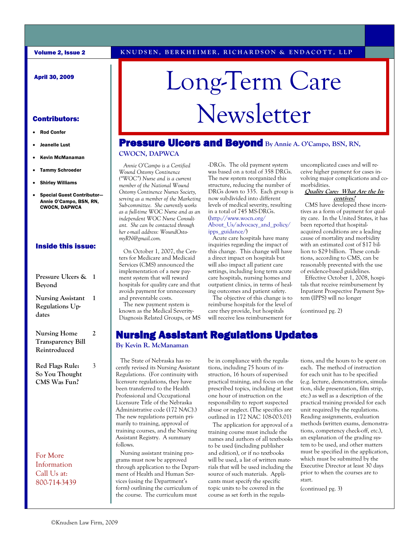#### April 30, 2009

- Rod Confer
- Jeanelle Lust
- Kevin McManaman
- Tammy Schroeder
- Shirley Williams
- Special Guest Contributor— Annie O'Campo, BSN, RN, CWOCN, DAPWCA

#### Inside this issue:

| Pressure Ulcers &<br>Bevond                                     | 1 |
|-----------------------------------------------------------------|---|
| <b>Nursing Assistant</b><br>Regulations Up-<br>dates            | 1 |
| <b>Nursing Home</b><br><b>Transparency Bill</b><br>Reintroduced | 2 |

**Red Flags Rule: So You Thought CMS Was Fun?**

3

For More Information Call Us at: 800-714-3439

# Long-Term Care Contributors: Newsletter

## **Pressure Ulcers and Beyond By Annie A. O'Campo, BSN, RN,**

#### **CWOCN, DAPWCA**

 *Annie O'Campo is a Certified Wound Ostomy Continence ("WOC") Nurse and is a current member of the National Wound Ostomy Continence Nurses Society, serving as a member of the Marketing Sub-committee. She currently works as a full-time WOC Nurse and as an independent WOC Nurse Consultant. She can be contacted through her e-mail address: WoundOstomyRN@gmail.com.*

On October 1, 2007, the Centers for Medicare and Medicaid Services (CMS) announced the implementation of a new payment system that will reward hospitals for quality care and that avoids payment for unnecessary and preventable costs.

 The new payment system is known as the Medical Severity-Diagnosis Related Groups, or MS -DRGs. The old payment system was based on a total of 358 DRGs. The new system reorganized this structure, reducing the number of DRGs down to 335. Each group is now subdivided into different levels of medical severity, resulting in a total of 745 MS-DRGs. (http://www.wocn.org/ About\_Us/advocacy\_and\_policy/ ipps\_guidance/)

 Acute care hospitals have many inquiries regarding the impact of this change. This change will have a direct impact on hospitals but will also impact all patient care settings, including long term acute care hospitals, nursing homes and outpatient clinics, in terms of healing outcomes and patient safety.

 The objective of this change is to reimburse hospitals for the level of care they provide, but hospitals will receive less reimbursement for

uncomplicated cases and will receive higher payment for cases involving major complications and comorbidities.

#### **Quality Care: What Are the Incentives?**

 CMS have developed these incentives as a form of payment for quality care. In the United States, it has been reported that hospitalacquired conditions are a leading cause of mortality and morbidity with an estimated cost of \$17 billion to \$29 billion. These conditions, according to CMS, can be reasonably prevented with the use of evidence-based guidelines.

 Effective October 1, 2008, hospitals that receive reimbursement by Inpatient Prospective Payment System (IPPS) will no longer

(continued pg. 2)

## Nursing Assistant Regulations Updates

#### **By Kevin R. McManaman**

 The State of Nebraska has recently revised its Nursing Assistant Regulations. (For continuity with licensure regulations, they have been transferred to the Health Professional and Occupational Licensure Title of the Nebraska Administrative code (172 NAC).) The new regulations pertain primarily to training, approval of training courses, and the Nursing Assistant Registry. A summary follows.

 Nursing assistant training programs must now be approved through application to the Department of Health and Human Services (using the Department's form) outlining the curriculum of the course. The curriculum must

be in compliance with the regulations, including 75 hours of instruction, 16 hours of supervised practical training, and focus on the prescribed topics, including at least one hour of instruction on the responsibility to report suspected abuse or neglect. (The specifics are outlined in 172 NAC 108-003.01)

 The application for approval of a training course must include the names and authors of all textbooks to be used (including publisher and edition), or if no textbooks will be used, a list of written materials that will be used including the source of such materials. Applicants must specify the specific topic units to be covered in the course as set forth in the regulations, and the hours to be spent on each. The method of instruction for each unit has to be specified (e.g. lecture, demonstration, simulation, slide presentation, film strip, etc.) as well as a description of the practical training provided for each unit required by the regulations. Reading assignments, evaluation methods (written exams, demonstrations, competency check-off, etc.), an explanation of the grading system to be used, and other matters must be specified in the application, which must be submitted by the Executive Director at least 30 days prior to when the courses are to start.

(continued pg. 3)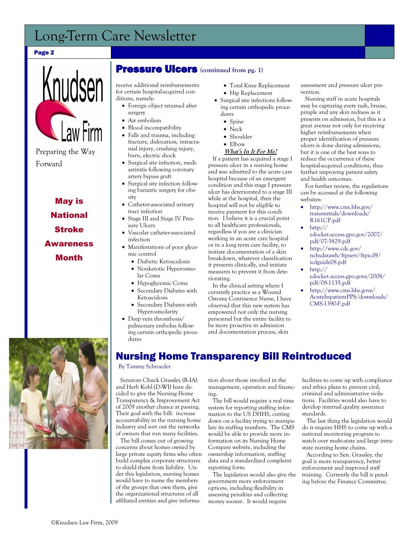## Long-Term Care Newsletter

#### Page 2



May is **National** Stroke Awareness Month



#### Pressure Ulcers **(continued from pg. 1)**

receive additional reimbursements for certain hospital-acquired conditions, namely:

- Foreign object retained after surgery
- Air embolism
- Blood incompatibility
- Falls and trauma, including fracture, dislocation, intracranial injury, crushing injury, burn, electric shock
- Surgical site infection, mediastinitis following coronary artery bypass graft
- Surgical site infection following bariatric surgery for obesity
- Catheter-associated urinary tract infection
- Stage III and Stage IV Pressure Ulcers
- Vascular catheter-associated infection
- Manifestations of poor glycemic control
	- Diabetic Ketoacidosis
	- Nonketotic Hyperosmolar Coma
	- Hypoglycemic Coma
	- Secondary Diabetes with Ketoacidosis
	- Secondary Diabetes with Hyperosmolarity
- Deep vein thrombosis/ pulmonary embolus following certain orthopedic procedures
- Total Knee Replacement Hip Replacement
- Surgical site infections following certain orthopedic procedures
	- Spine
	- Neck
	- Shoulder
	- Elbow

#### **What's In It For Me?**

 If a patient has acquired a stage I pressure ulcer in a nursing home and was admitted to the acute care hospital because of an emergent condition and this stage I pressure ulcer has deteriorated to a stage III while at the hospital, then the hospital will not be eligible to receive payment for this condition. I believe it is a crucial point to all healthcare professionals, regardless if you are a clinician working in an acute care hospital or in a long term care facility, to initiate documentation of a skin breakdown, whatever classification it presents clinically, and initiate measures to prevent it from deteriorating.

 In the clinical setting where I currently practice as a Wound Ostomy Continence Nurse, I have observed that this new system has empowered not only the nursing personnel but the entire facility to be more proactive in admission and documentation process, skin

assessment and pressure ulcer prevention.

 Nursing staff in acute hospitals may be capturing every rash, bruise, pimple and any skin redness as it presents on admission, but this is a great avenue not only for receiving higher reimbursements when proper identification of pressure ulcers is done during admissions, but it is one of the best ways to reduce the occurrence of these hospital-acquired conditions, thus further improving patient safety and health outcomes.

 For further review, the regulations can be accessed at the following websites:

- http://www.cms.hhs.gov/ transmittals/downloads/ R161CP.pdf
- http:// edocket.access.gpo.gov/2007/ pdf/07-3829.pdf
- http://www.cdc.gov/ nchsdatawh/ftpserv/ftpicd9/ icdguide08.pdf
- http:// edocket.access.gpo.gove/2008/ pdf/08-1135.pdf
- http://www.cms.hhs.gove/ AcuteInpatientPPS/downloads/ CMS-1390-F.pdf

## Nursing Home Transparency Bill Reintroduced

By Tammy Schroeder

 Senators Chuck Grassley (R-IA) and Herb Kohl (D-WI) have decided to give the Nursing Home Transparency & Improvement Act of 2009 another chance at passing. Their goal with the bill: increase accountability in the nursing home industry and sort out the networks of owners that run many facilities.

 The bill comes out of growing concerns about homes owned by large private equity firms who often build complex corporate structures to shield them from liability. Under this legislation, nursing homes would have to name the members of the groups that own them, give the organizational structures of all affiliated entities and give information about those involved in the management, operation and financing.

 The bill would require a real time system for reporting staffing information to the US DHHS, cutting down on a facility trying to manipulate its staffing numbers. The CMS would be able to provide more information on its Nursing Home Compare website, including the ownership information, staffing data and a standardized complaint reporting form.

 The legislation would also give the government more enforcement options, including flexibility in assessing penalties and collecting money sooner. It would require

facilities to come up with compliance and ethics plans to prevent civil, criminal and administrative violations. Facilities would also have to develop internal quality assurance standards.

 The last thing the legislation would do is require HHS to come up with a national monitoring program to watch over multi-state and large intrastate nursing home chains.

 According to Sen. Grassley, the goal is more transparency, better enforcement and improved staff training. Currently the bill is pending before the Finance Committee.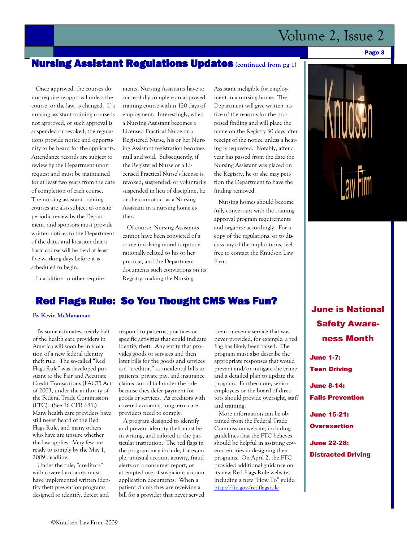## Volume 2, Issue 2

## Nursing Assistant Regulations Updates **(continued from pg 1)**

 Once approved, the courses do not require re-approval unless the course, or the law, is changed. If a nursing assistant training course is not approved, or such approval is suspended or revoked, the regulations provide notice and opportunity to be heard for the applicants. Attendance records are subject to review by the Department upon request and must be maintained for at least two years from the date of completion of each course. The nursing assistant training courses are also subject to on-site periodic review by the Department, and sponsors must provide written notices to the Department of the dates and location that a basic course will be held at least five working days before it is scheduled to begin.

In addition to other require-

ments, Nursing Assistants have to successfully complete an approved training course within 120 days of employment. Interestingly, when a Nursing Assistant becomes a Licensed Practical Nurse or a Registered Nurse, his or her Nursing Assistant registration becomes null and void. Subsequently, if the Registered Nurse or a Licensed Practical Nurse's license is revoked, suspended, or voluntarily suspended in lieu of discipline, he or she cannot act as a Nursing Assistant in a nursing home either.

 Of course, Nursing Assistants cannot have been convicted of a crime involving moral turpitude rationally related to his or her practice, and the Department documents such convictions on its Registry, making the Nursing

Assistant ineligible for employment in a nursing home. The Department will give written notice of the reasons for the proposed finding and will place the name on the Registry 30 days after receipt of the notice unless a hearing is requested. Notably, after a year has passed from the date the Nursing Assistant was placed on the Registry, he or she may petition the Department to have the finding removed.

 Nursing homes should become fully conversant with the training approval program requirements and organize accordingly. For a copy of the regulations, or to discuss any of the implications, feel free to contact the Knudsen Law Firm.

## Red Flags Rule: So You Thought CMS Was Fun?

#### **By Kevin McManaman**

 By some estimates, nearly half of the health care providers in America will soon be in violation of a new federal identity theft rule. The so-called "Red Flags Rule" was developed pursuant to the Fair and Accurate Credit Transactions (FACT) Act of 2003, under the authority of the Federal Trade Commission (FTC). (See 16 CFR 681.) Many health care providers have still never heard of the Red Flags Rule, and many others who have are unsure whether the law applies. Very few are ready to comply by the May 1, 2009 deadline.

 Under the rule, "creditors" with covered accounts must have implemented written identity theft prevention programs designed to identify, detect and

respond to patterns, practices or specific activities that could indicate identify theft. Any entity that provides goods or services and then later bills for the goods and services is a "creditor," so incidental bills to patients, private pay, and insurance claims can all fall under the rule because they defer payment for goods or services. As creditors with covered accounts, long-term care providers need to comply.

 A program designed to identify and prevent identity theft must be in writing, and tailored to the particular institution. The red flags in the program may include, for example, unusual account activity, fraud alerts on a consumer report, or attempted use of suspicious account application documents. When a patient claims they are receiving a bill for a provider that never served

them or even a service that was never provided, for example, a red flag has likely been raised. The program must also describe the appropriate responses that would prevent and/or mitigate the crime and a detailed plan to update the program. Furthermore, senior employees or the board of directors should provide oversight, staff and training.

 More information can be obtained from the Federal Trade Commission website, including guidelines that the FTC believes should be helpful in assisting covered entities in designing their programs. On April 2, the FTC provided additional guidance on its new Red Flags Rule website, including a new "How To" guide: <http://ftc.gov/redflagsrule>



Page 3

June is National Safety Awareness Month

June 1-7: Teen Driving June 8-14: Falls Prevention

June 15-21:

**Overexertion** 

June 22-28: Distracted Driving